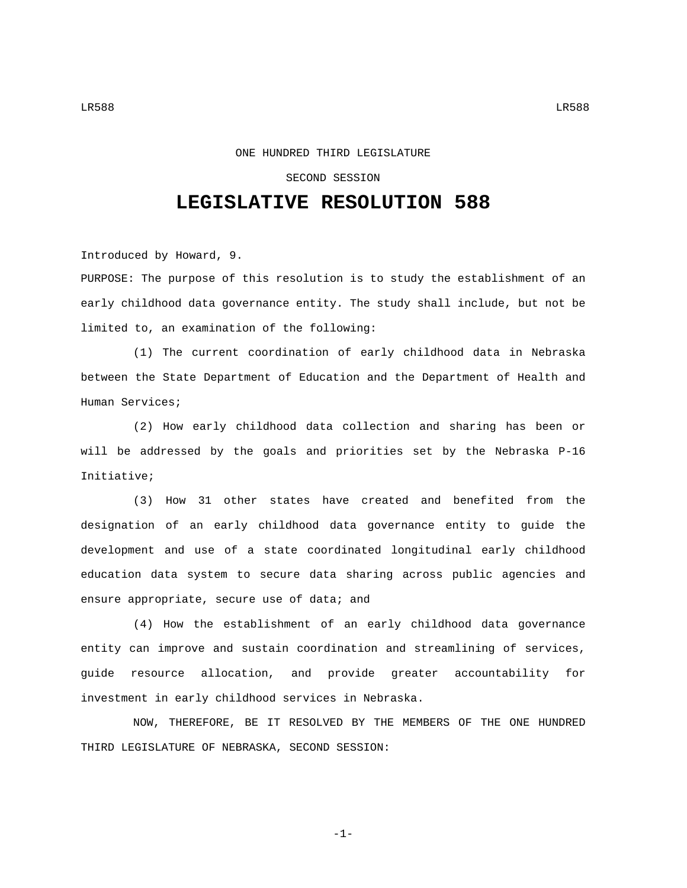## ONE HUNDRED THIRD LEGISLATURE

## SECOND SESSION

## **LEGISLATIVE RESOLUTION 588**

Introduced by Howard, 9.

PURPOSE: The purpose of this resolution is to study the establishment of an early childhood data governance entity. The study shall include, but not be limited to, an examination of the following:

(1) The current coordination of early childhood data in Nebraska between the State Department of Education and the Department of Health and Human Services;

(2) How early childhood data collection and sharing has been or will be addressed by the goals and priorities set by the Nebraska P-16 Initiative;

(3) How 31 other states have created and benefited from the designation of an early childhood data governance entity to guide the development and use of a state coordinated longitudinal early childhood education data system to secure data sharing across public agencies and ensure appropriate, secure use of data; and

(4) How the establishment of an early childhood data governance entity can improve and sustain coordination and streamlining of services, guide resource allocation, and provide greater accountability for investment in early childhood services in Nebraska.

NOW, THEREFORE, BE IT RESOLVED BY THE MEMBERS OF THE ONE HUNDRED THIRD LEGISLATURE OF NEBRASKA, SECOND SESSION:

-1-